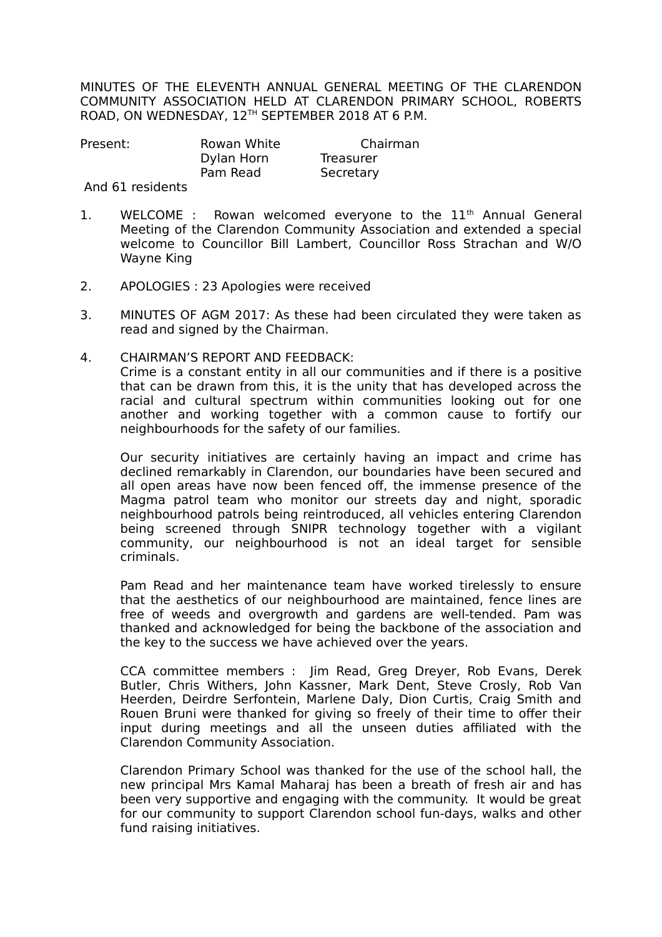MINUTES OF THE ELEVENTH ANNUAL GENERAL MEETING OF THE CLARENDON COMMUNITY ASSOCIATION HELD AT CLARENDON PRIMARY SCHOOL, ROBERTS ROAD, ON WEDNESDAY, 12<sup>TH</sup> SEPTEMBER 2018 AT 6 P.M.

| Present:         | Rowan White | Chairman  |
|------------------|-------------|-----------|
|                  | Dylan Horn  | Treasurer |
|                  | Pam Read    | Secretary |
| And C1 rocidents |             |           |

And 61 residents

- 1. WELCOME : Rowan welcomed everyone to the 11<sup>th</sup> Annual General Meeting of the Clarendon Community Association and extended a special welcome to Councillor Bill Lambert. Councillor Ross Strachan and W/O Wayne King
- 2. APOLOGIES : 23 Apologies were received
- 3. MINUTES OF AGM 2017: As these had been circulated they were taken as read and signed by the Chairman.
- 4. CHAIRMAN'S REPORT AND FEEDBACK: Crime is a constant entity in all our communities and if there is a positive that can be drawn from this, it is the unity that has developed across the racial and cultural spectrum within communities looking out for one another and working together with a common cause to fortify our neighbourhoods for the safety of our families.

Our security initiatives are certainly having an impact and crime has declined remarkably in Clarendon, our boundaries have been secured and all open areas have now been fenced off, the immense presence of the Magma patrol team who monitor our streets day and night, sporadic neighbourhood patrols being reintroduced, all vehicles entering Clarendon being screened through SNIPR technology together with a vigilant community, our neighbourhood is not an ideal target for sensible criminals.

Pam Read and her maintenance team have worked tirelessly to ensure that the aesthetics of our neighbourhood are maintained, fence lines are free of weeds and overgrowth and gardens are well-tended. Pam was thanked and acknowledged for being the backbone of the association and the key to the success we have achieved over the years.

CCA committee members : Jim Read, Greg Dreyer, Rob Evans, Derek Butler, Chris Withers, John Kassner, Mark Dent, Steve Crosly, Rob Van Heerden, Deirdre Serfontein, Marlene Daly, Dion Curtis, Craig Smith and Rouen Bruni were thanked for giving so freely of their time to offer their input during meetings and all the unseen duties affiliated with the Clarendon Community Association.

Clarendon Primary School was thanked for the use of the school hall, the new principal Mrs Kamal Maharaj has been a breath of fresh air and has been very supportive and engaging with the community. It would be great for our community to support Clarendon school fun-days, walks and other fund raising initiatives.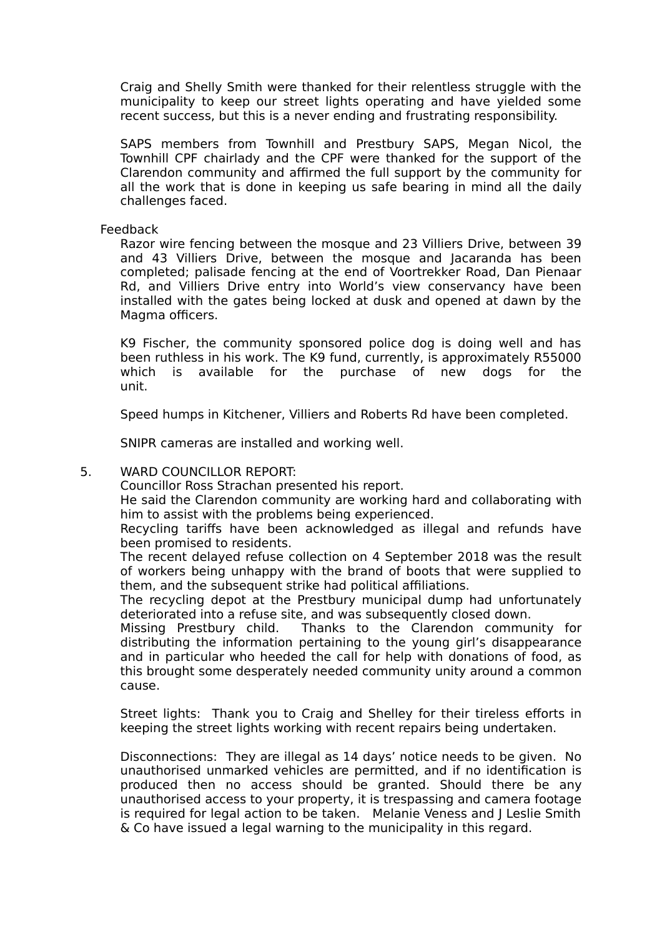Craig and Shelly Smith were thanked for their relentless struggle with the municipality to keep our street lights operating and have yielded some recent success, but this is a never ending and frustrating responsibility.

SAPS members from Townhill and Prestbury SAPS, Megan Nicol, the Townhill CPF chairlady and the CPF were thanked for the support of the Clarendon community and affirmed the full support by the community for all the work that is done in keeping us safe bearing in mind all the daily challenges faced.

Feedback

Razor wire fencing between the mosque and 23 Villiers Drive, between 39 and 43 Villiers Drive, between the mosque and Jacaranda has been completed; palisade fencing at the end of Voortrekker Road, Dan Pienaar Rd, and Villiers Drive entry into World's view conservancy have been installed with the gates being locked at dusk and opened at dawn by the Magma officers.

K9 Fischer, the community sponsored police dog is doing well and has been ruthless in his work. The K9 fund, currently, is approximately R55000 which is available for the purchase of new dogs for the unit.

Speed humps in Kitchener, Villiers and Roberts Rd have been completed.

SNIPR cameras are installed and working well.

# 5. WARD COUNCILLOR REPORT:

Councillor Ross Strachan presented his report.

He said the Clarendon community are working hard and collaborating with him to assist with the problems being experienced.

Recycling tariffs have been acknowledged as illegal and refunds have been promised to residents.

The recent delayed refuse collection on 4 September 2018 was the result of workers being unhappy with the brand of boots that were supplied to them, and the subsequent strike had political affiliations.

The recycling depot at the Prestbury municipal dump had unfortunately deteriorated into a refuse site, and was subsequently closed down.

Missing Prestbury child. Thanks to the Clarendon community for distributing the information pertaining to the young girl's disappearance and in particular who heeded the call for help with donations of food, as this brought some desperately needed community unity around a common cause.

Street lights: Thank you to Craig and Shelley for their tireless efforts in keeping the street lights working with recent repairs being undertaken.

Disconnections: They are illegal as 14 days' notice needs to be given. No unauthorised unmarked vehicles are permitted, and if no identification is produced then no access should be granted. Should there be any unauthorised access to your property, it is trespassing and camera footage is required for legal action to be taken. Melanie Veness and J Leslie Smith & Co have issued a legal warning to the municipality in this regard.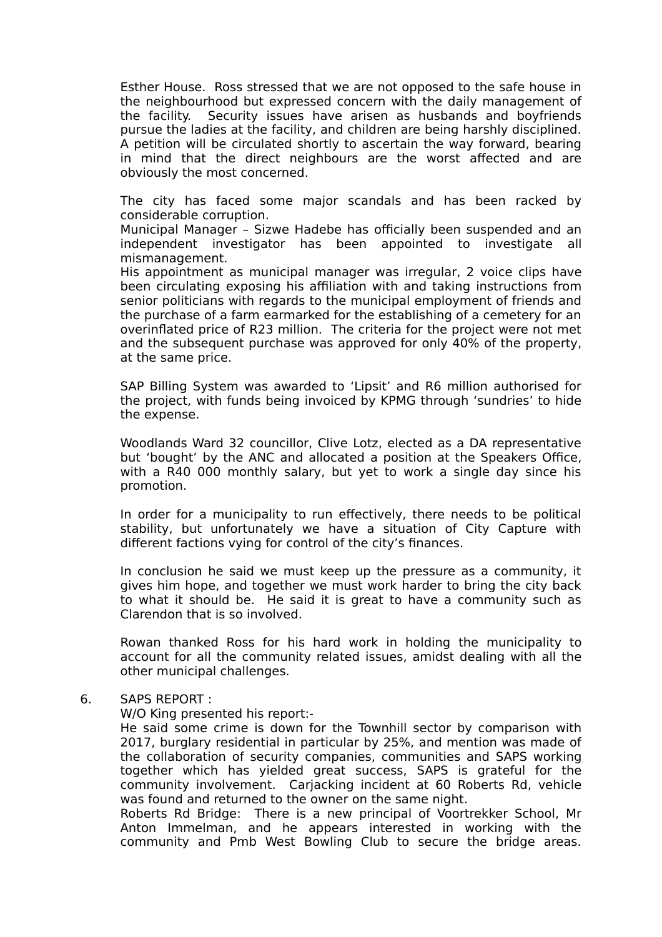Esther House. Ross stressed that we are not opposed to the safe house in the neighbourhood but expressed concern with the daily management of the facility. Security issues have arisen as husbands and boyfriends pursue the ladies at the facility, and children are being harshly disciplined. A petition will be circulated shortly to ascertain the way forward, bearing in mind that the direct neighbours are the worst affected and are obviously the most concerned.

The city has faced some major scandals and has been racked by considerable corruption.

Municipal Manager – Sizwe Hadebe has officially been suspended and an independent investigator has been appointed to investigate all mismanagement.

His appointment as municipal manager was irregular, 2 voice clips have been circulating exposing his affiliation with and taking instructions from senior politicians with regards to the municipal employment of friends and the purchase of a farm earmarked for the establishing of a cemetery for an overinflated price of R23 million. The criteria for the project were not met and the subsequent purchase was approved for only 40% of the property, at the same price.

SAP Billing System was awarded to 'Lipsit' and R6 million authorised for the project, with funds being invoiced by KPMG through 'sundries' to hide the expense.

Woodlands Ward 32 councillor, Clive Lotz, elected as a DA representative but 'bought' by the ANC and allocated a position at the Speakers Office, with a R40 000 monthly salary, but yet to work a single day since his promotion.

In order for a municipality to run effectively, there needs to be political stability, but unfortunately we have a situation of City Capture with different factions vying for control of the city's finances.

In conclusion he said we must keep up the pressure as a community, it gives him hope, and together we must work harder to bring the city back to what it should be. He said it is great to have a community such as Clarendon that is so involved.

Rowan thanked Ross for his hard work in holding the municipality to account for all the community related issues, amidst dealing with all the other municipal challenges.

#### 6. SAPS REPORT :

W/O King presented his report:-

He said some crime is down for the Townhill sector by comparison with 2017, burglary residential in particular by 25%, and mention was made of the collaboration of security companies, communities and SAPS working together which has yielded great success, SAPS is grateful for the community involvement. Carjacking incident at 60 Roberts Rd, vehicle was found and returned to the owner on the same night.

Roberts Rd Bridge: There is a new principal of Voortrekker School, Mr Anton Immelman, and he appears interested in working with the community and Pmb West Bowling Club to secure the bridge areas.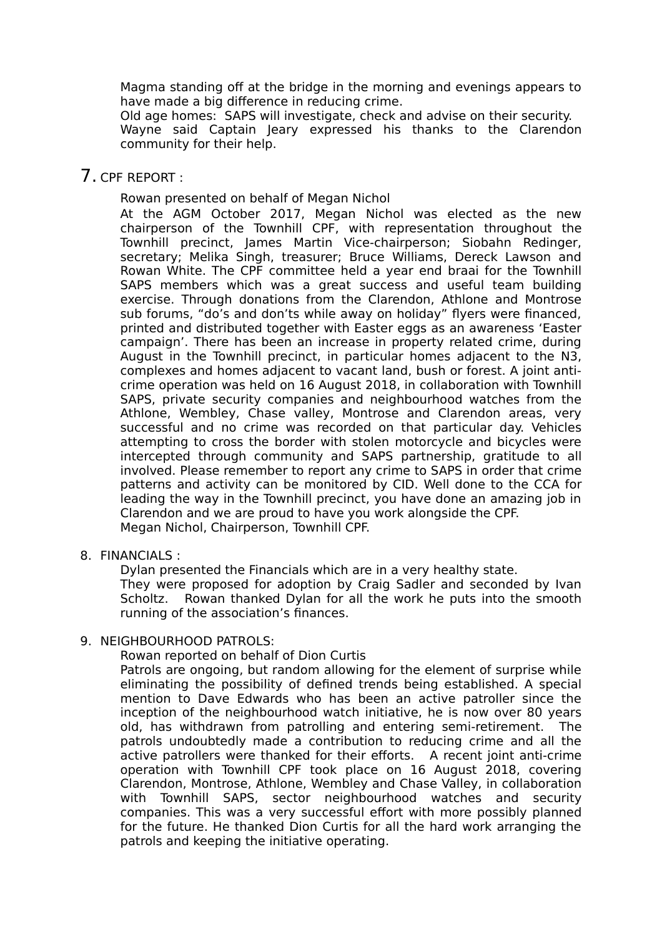Magma standing off at the bridge in the morning and evenings appears to have made a big difference in reducing crime.

Old age homes: SAPS will investigate, check and advise on their security. Wayne said Captain Jeary expressed his thanks to the Clarendon community for their help.

# 7. CPF REPORT :

Rowan presented on behalf of Megan Nichol

At the AGM October 2017, Megan Nichol was elected as the new chairperson of the Townhill CPF, with representation throughout the Townhill precinct, James Martin Vice-chairperson; Siobahn Redinger, secretary; Melika Singh, treasurer; Bruce Williams, Dereck Lawson and Rowan White. The CPF committee held a year end braai for the Townhill SAPS members which was a great success and useful team building exercise. Through donations from the Clarendon, Athlone and Montrose sub forums, "do's and don'ts while away on holiday" flyers were financed, printed and distributed together with Easter eggs as an awareness 'Easter campaign'. There has been an increase in property related crime, during August in the Townhill precinct, in particular homes adjacent to the N3, complexes and homes adjacent to vacant land, bush or forest. A joint anticrime operation was held on 16 August 2018, in collaboration with Townhill SAPS, private security companies and neighbourhood watches from the Athlone, Wembley, Chase valley, Montrose and Clarendon areas, very successful and no crime was recorded on that particular day. Vehicles attempting to cross the border with stolen motorcycle and bicycles were intercepted through community and SAPS partnership, gratitude to all involved. Please remember to report any crime to SAPS in order that crime patterns and activity can be monitored by CID. Well done to the CCA for leading the way in the Townhill precinct, you have done an amazing job in Clarendon and we are proud to have you work alongside the CPF. Megan Nichol, Chairperson, Townhill CPF.

#### 8. FINANCIALS :

Dylan presented the Financials which are in a very healthy state.

They were proposed for adoption by Craig Sadler and seconded by Ivan Scholtz. Rowan thanked Dylan for all the work he puts into the smooth running of the association's finances.

# 9. NEIGHBOURHOOD PATROLS:

Rowan reported on behalf of Dion Curtis

Patrols are ongoing, but random allowing for the element of surprise while eliminating the possibility of defined trends being established. A special mention to Dave Edwards who has been an active patroller since the inception of the neighbourhood watch initiative, he is now over 80 years old, has withdrawn from patrolling and entering semi-retirement. The patrols undoubtedly made a contribution to reducing crime and all the active patrollers were thanked for their efforts. A recent joint anti-crime operation with Townhill CPF took place on 16 August 2018, covering Clarendon, Montrose, Athlone, Wembley and Chase Valley, in collaboration with Townhill SAPS, sector neighbourhood watches and security companies. This was a very successful effort with more possibly planned for the future. He thanked Dion Curtis for all the hard work arranging the patrols and keeping the initiative operating.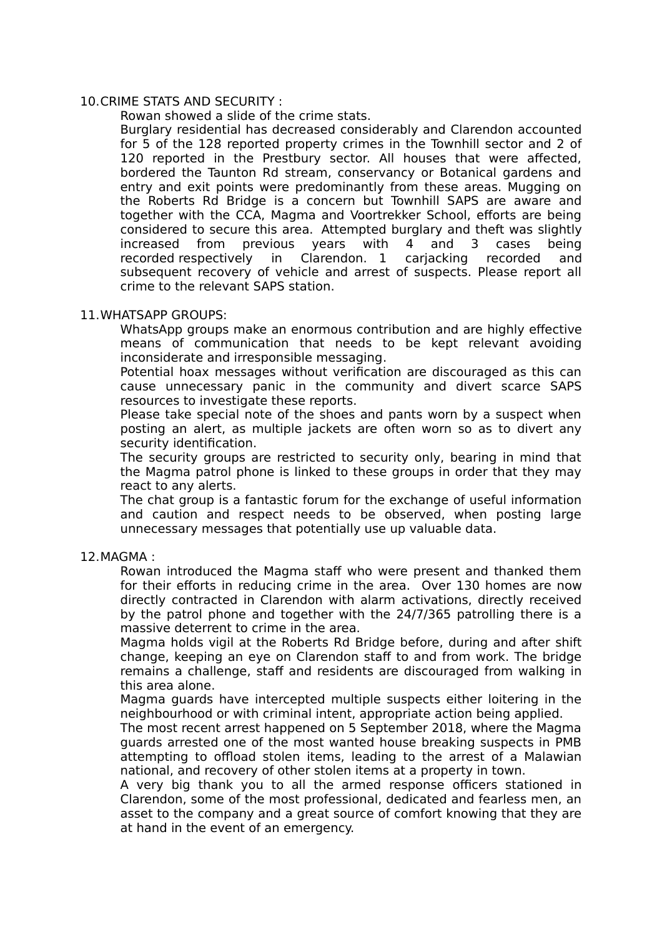# 10.CRIME STATS AND SECURITY :

Rowan showed a slide of the crime stats.

Burglary residential has decreased considerably and Clarendon accounted for 5 of the 128 reported property crimes in the Townhill sector and 2 of 120 reported in the Prestbury sector. All houses that were affected, bordered the Taunton Rd stream, conservancy or Botanical gardens and entry and exit points were predominantly from these areas. Mugging on the Roberts Rd Bridge is a concern but Townhill SAPS are aware and together with the CCA, Magma and Voortrekker School, efforts are being considered to secure this area. Attempted burglary and theft was slightly increased from previous years with 4 and 3 cases being recorded respectively in Clarendon. 1 carjacking recorded and subsequent recovery of vehicle and arrest of suspects. Please report all crime to the relevant SAPS station.

#### 11.WHATSAPP GROUPS:

WhatsApp groups make an enormous contribution and are highly effective means of communication that needs to be kept relevant avoiding inconsiderate and irresponsible messaging.

Potential hoax messages without verification are discouraged as this can cause unnecessary panic in the community and divert scarce SAPS resources to investigate these reports.

Please take special note of the shoes and pants worn by a suspect when posting an alert, as multiple jackets are often worn so as to divert any security identification.

The security groups are restricted to security only, bearing in mind that the Magma patrol phone is linked to these groups in order that they may react to any alerts.

The chat group is a fantastic forum for the exchange of useful information and caution and respect needs to be observed, when posting large unnecessary messages that potentially use up valuable data.

### 12.MAGMA :

Rowan introduced the Magma staff who were present and thanked them for their efforts in reducing crime in the area. Over 130 homes are now directly contracted in Clarendon with alarm activations, directly received by the patrol phone and together with the 24/7/365 patrolling there is a massive deterrent to crime in the area.

Magma holds vigil at the Roberts Rd Bridge before, during and after shift change, keeping an eye on Clarendon staff to and from work. The bridge remains a challenge, staff and residents are discouraged from walking in this area alone.

Magma guards have intercepted multiple suspects either loitering in the neighbourhood or with criminal intent, appropriate action being applied.

The most recent arrest happened on 5 September 2018, where the Magma guards arrested one of the most wanted house breaking suspects in PMB attempting to offload stolen items, leading to the arrest of a Malawian national, and recovery of other stolen items at a property in town.

A very big thank you to all the armed response officers stationed in Clarendon, some of the most professional, dedicated and fearless men, an asset to the company and a great source of comfort knowing that they are at hand in the event of an emergency.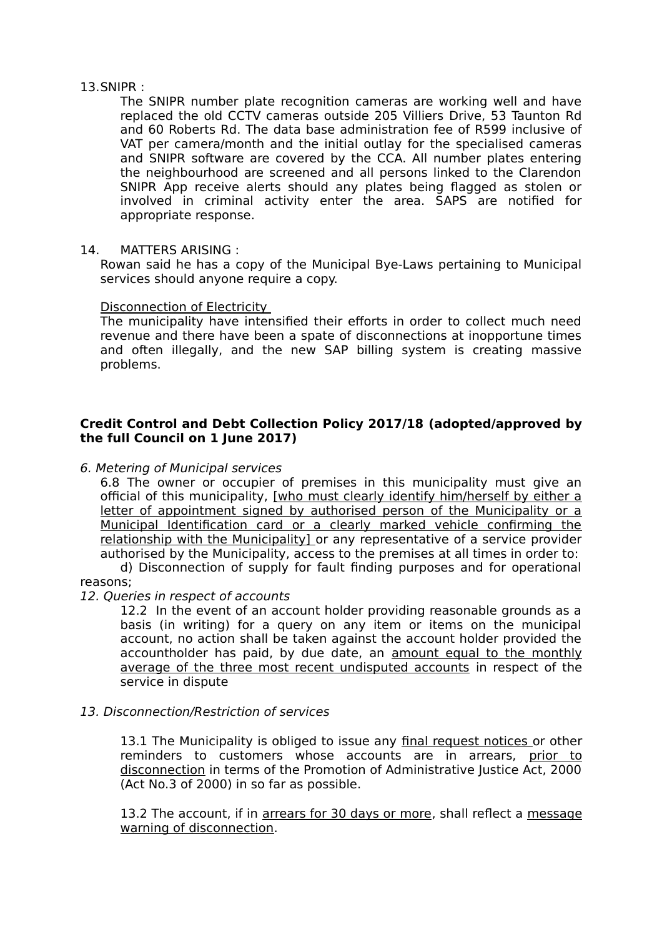### 13.SNIPR :

The SNIPR number plate recognition cameras are working well and have replaced the old CCTV cameras outside 205 Villiers Drive, 53 Taunton Rd and 60 Roberts Rd. The data base administration fee of R599 inclusive of VAT per camera/month and the initial outlay for the specialised cameras and SNIPR software are covered by the CCA. All number plates entering the neighbourhood are screened and all persons linked to the Clarendon SNIPR App receive alerts should any plates being flagged as stolen or involved in criminal activity enter the area. SAPS are notified for appropriate response.

14. MATTERS ARISING :

Rowan said he has a copy of the Municipal Bye-Laws pertaining to Municipal services should anyone require a copy.

#### Disconnection of Electricity

The municipality have intensified their efforts in order to collect much need revenue and there have been a spate of disconnections at inopportune times and often illegally, and the new SAP billing system is creating massive problems.

# **Credit Control and Debt Collection Policy 2017/18 (adopted/approved by the full Council on 1 June 2017)**

6. Metering of Municipal services

6.8 The owner or occupier of premises in this municipality must give an official of this municipality, [who must clearly identify him/herself by either a letter of appointment signed by authorised person of the Municipality or a Municipal Identification card or a clearly marked vehicle confirming the relationship with the Municipality] or any representative of a service provider authorised by the Municipality, access to the premises at all times in order to:

d) Disconnection of supply for fault finding purposes and for operational reasons;

# 12. Queries in respect of accounts

12.2 In the event of an account holder providing reasonable grounds as a basis (in writing) for a query on any item or items on the municipal account, no action shall be taken against the account holder provided the accountholder has paid, by due date, an amount equal to the monthly average of the three most recent undisputed accounts in respect of the service in dispute

# 13. Disconnection/Restriction of services

13.1 The Municipality is obliged to issue any final request notices or other reminders to customers whose accounts are in arrears, prior to disconnection in terms of the Promotion of Administrative Justice Act, 2000 (Act No.3 of 2000) in so far as possible.

13.2 The account, if in arrears for 30 days or more, shall reflect a message warning of disconnection.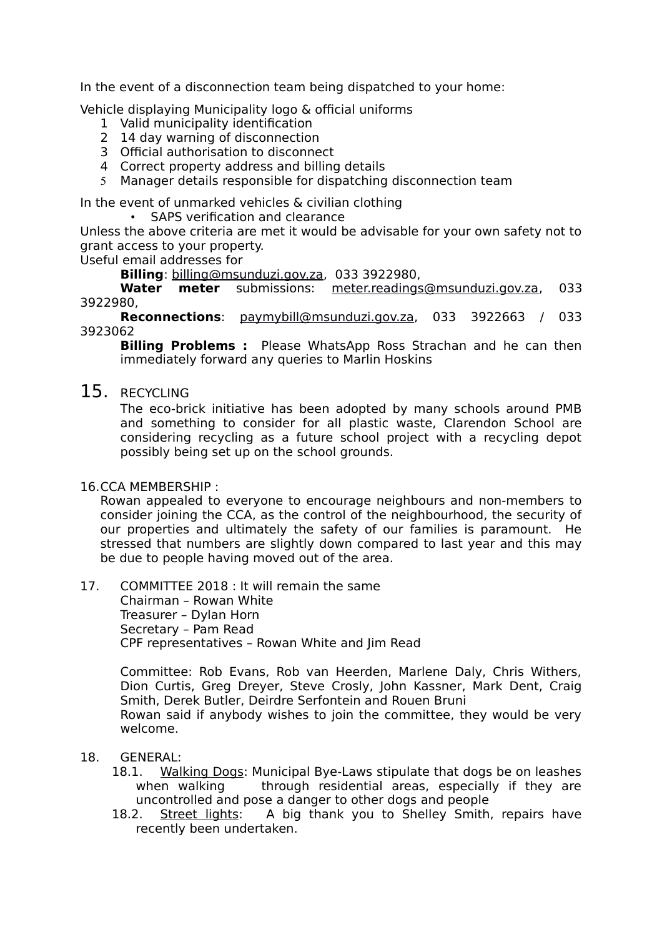In the event of a disconnection team being dispatched to your home:

Vehicle displaying Municipality logo & official uniforms

- 1 Valid municipality identification
- 2 14 day warning of disconnection
- 3 Official authorisation to disconnect
- 4 Correct property address and billing details
- 5 Manager details responsible for dispatching disconnection team

In the event of unmarked vehicles & civilian clothing

SAPS verification and clearance

Unless the above criteria are met it would be advisable for your own safety not to grant access to your property.

Useful email addresses for

**Billing**: [billing@msunduzi.gov.za,](mailto:billing@msunduzi.gov.za) 033 3922980,

**Water meter** submissions: [meter.readings@msunduzi.gov.za,](mailto:meter.readings@msunduzi.gov.za) 033 3922980,

**Reconnections**: [paymybill@msunduzi.gov.za,](mailto:paymybill@msunduzi.gov.za) 033 3922663 / 033 3923062

**Billing Problems :** Please WhatsApp Ross Strachan and he can then immediately forward any queries to Marlin Hoskins

# 15. RECYCLING

The eco-brick initiative has been adopted by many schools around PMB and something to consider for all plastic waste, Clarendon School are considering recycling as a future school project with a recycling depot possibly being set up on the school grounds.

# 16.CCA MEMBERSHIP :

Rowan appealed to everyone to encourage neighbours and non-members to consider joining the CCA, as the control of the neighbourhood, the security of our properties and ultimately the safety of our families is paramount. He stressed that numbers are slightly down compared to last year and this may be due to people having moved out of the area.

17. COMMITTEE 2018 : It will remain the same

Chairman – Rowan White Treasurer – Dylan Horn Secretary – Pam Read CPF representatives – Rowan White and Jim Read

Committee: Rob Evans, Rob van Heerden, Marlene Daly, Chris Withers, Dion Curtis, Greg Dreyer, Steve Crosly, John Kassner, Mark Dent, Craig Smith, Derek Butler, Deirdre Serfontein and Rouen Bruni

Rowan said if anybody wishes to join the committee, they would be very welcome.

- 18. GENERAL:
	- 18.1. Walking Dogs: Municipal Bye-Laws stipulate that dogs be on leashes when walking through residential areas, especially if they are uncontrolled and pose a danger to other dogs and people<br>2. Street lights: A big thank you to Shelley Smith,
	- 18.2. Street lights: A big thank you to Shelley Smith, repairs have recently been undertaken.